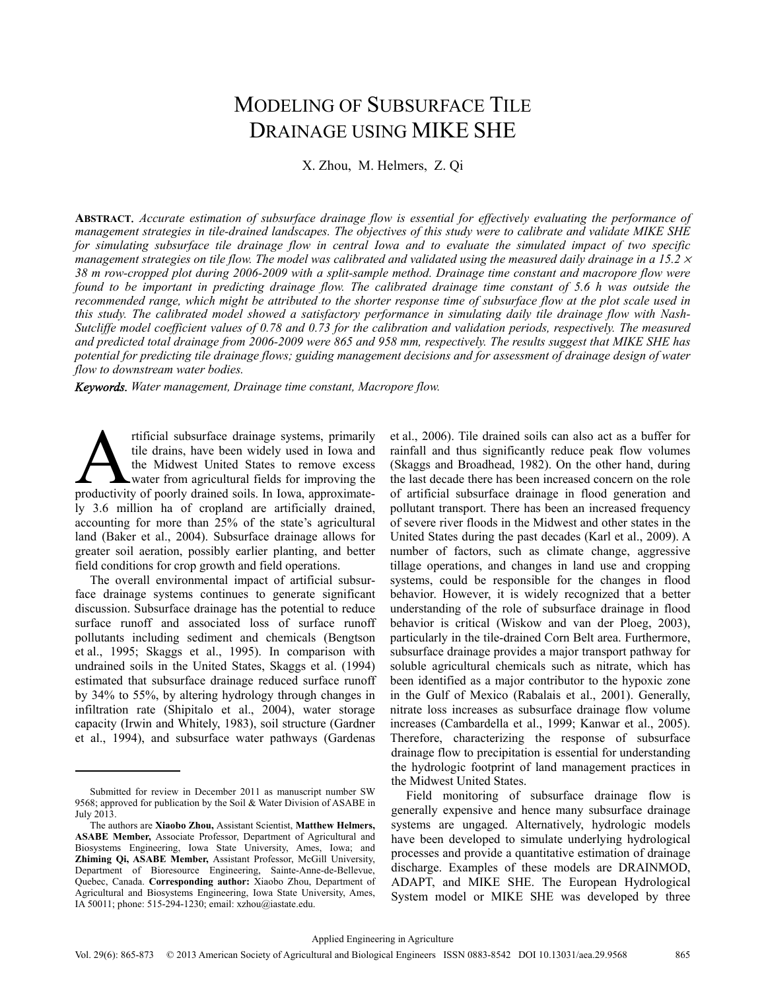# MODELING OF SUBSURFACE TILE DRAINAGE USING MIKE SHE

X. Zhou, M. Helmers, Z. Qi

**ABSTRACT***. Accurate estimation of subsurface drainage flow is essential for effectively evaluating the performance of management strategies in tile-drained landscapes. The objectives of this study were to calibrate and validate MIKE SHE*  for simulating subsurface tile drainage flow in central Iowa and to evaluate the simulated impact of two specific *management strategies on tile flow. The model was calibrated and validated using the measured daily drainage in a 15.2*  $\times$ *38 m row-cropped plot during 2006-2009 with a split-sample method. Drainage time constant and macropore flow were found to be important in predicting drainage flow. The calibrated drainage time constant of 5.6 h was outside the recommended range, which might be attributed to the shorter response time of subsurface flow at the plot scale used in this study. The calibrated model showed a satisfactory performance in simulating daily tile drainage flow with Nash-Sutcliffe model coefficient values of 0.78 and 0.73 for the calibration and validation periods, respectively. The measured and predicted total drainage from 2006-2009 were 865 and 958 mm, respectively. The results suggest that MIKE SHE has potential for predicting tile drainage flows; guiding management decisions and for assessment of drainage design of water flow to downstream water bodies.* 

*Keywords. Water management, Drainage time constant, Macropore flow.* 

rtificial subsurface drainage systems, primarily tile drains, have been widely used in Iowa and the Midwest United States to remove excess water from agricultural fields for improving the rtificial subsurface drainage systems, primarily<br>tile drains, have been widely used in Iowa and<br>the Midwest United States to remove excess<br>productivity of poorly drained soils. In Iowa, approximately 3.6 million ha of cropland are artificially drained, accounting for more than 25% of the state's agricultural land (Baker et al., 2004). Subsurface drainage allows for greater soil aeration, possibly earlier planting, and better field conditions for crop growth and field operations.

The overall environmental impact of artificial subsurface drainage systems continues to generate significant discussion. Subsurface drainage has the potential to reduce surface runoff and associated loss of surface runoff pollutants including sediment and chemicals (Bengtson et al., 1995; Skaggs et al., 1995). In comparison with undrained soils in the United States, Skaggs et al. (1994) estimated that subsurface drainage reduced surface runoff by 34% to 55%, by altering hydrology through changes in infiltration rate (Shipitalo et al., 2004), water storage capacity (Irwin and Whitely, 1983), soil structure (Gardner et al., 1994), and subsurface water pathways (Gardenas

et al., 2006). Tile drained soils can also act as a buffer for rainfall and thus significantly reduce peak flow volumes (Skaggs and Broadhead, 1982). On the other hand, during the last decade there has been increased concern on the role of artificial subsurface drainage in flood generation and pollutant transport. There has been an increased frequency of severe river floods in the Midwest and other states in the United States during the past decades (Karl et al., 2009). A number of factors, such as climate change, aggressive tillage operations, and changes in land use and cropping systems, could be responsible for the changes in flood behavior. However, it is widely recognized that a better understanding of the role of subsurface drainage in flood behavior is critical (Wiskow and van der Ploeg, 2003), particularly in the tile-drained Corn Belt area. Furthermore, subsurface drainage provides a major transport pathway for soluble agricultural chemicals such as nitrate, which has been identified as a major contributor to the hypoxic zone in the Gulf of Mexico (Rabalais et al., 2001). Generally, nitrate loss increases as subsurface drainage flow volume increases (Cambardella et al., 1999; Kanwar et al., 2005). Therefore, characterizing the response of subsurface drainage flow to precipitation is essential for understanding the hydrologic footprint of land management practices in the Midwest United States.

Field monitoring of subsurface drainage flow is generally expensive and hence many subsurface drainage systems are ungaged. Alternatively, hydrologic models have been developed to simulate underlying hydrological processes and provide a quantitative estimation of drainage discharge. Examples of these models are DRAINMOD, ADAPT, and MIKE SHE. The European Hydrological System model or MIKE SHE was developed by three

Submitted for review in December 2011 as manuscript number SW 9568; approved for publication by the Soil & Water Division of ASABE in July 2013.

The authors are **Xiaobo Zhou,** Assistant Scientist, **Matthew Helmers, ASABE Member,** Associate Professor, Department of Agricultural and Biosystems Engineering, Iowa State University, Ames, Iowa; and **Zhiming Qi, ASABE Member,** Assistant Professor, McGill University, Department of Bioresource Engineering, Sainte-Anne-de-Bellevue, Quebec, Canada. **Corresponding author:** Xiaobo Zhou, Department of Agricultural and Biosystems Engineering, Iowa State University, Ames, IA 50011; phone: 515-294-1230; email: xzhou@iastate.edu.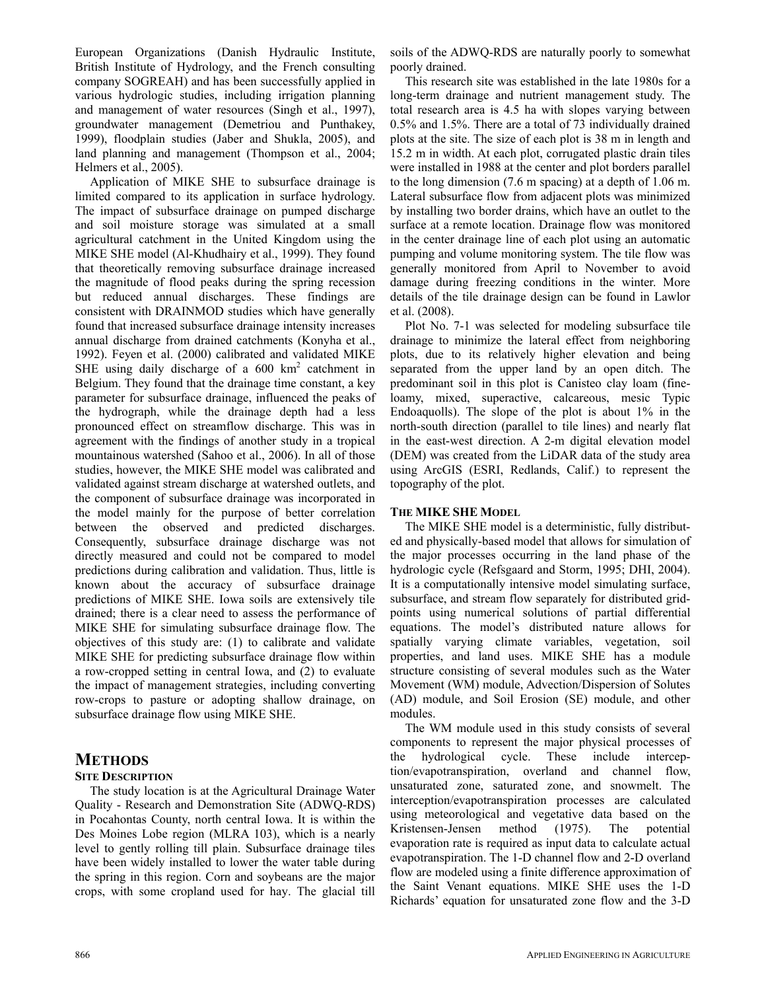European Organizations (Danish Hydraulic Institute, British Institute of Hydrology, and the French consulting company SOGREAH) and has been successfully applied in various hydrologic studies, including irrigation planning and management of water resources (Singh et al., 1997), groundwater management (Demetriou and Punthakey, 1999), floodplain studies (Jaber and Shukla, 2005), and land planning and management (Thompson et al., 2004; Helmers et al., 2005).

Application of MIKE SHE to subsurface drainage is limited compared to its application in surface hydrology. The impact of subsurface drainage on pumped discharge and soil moisture storage was simulated at a small agricultural catchment in the United Kingdom using the MIKE SHE model (Al-Khudhairy et al., 1999). They found that theoretically removing subsurface drainage increased the magnitude of flood peaks during the spring recession but reduced annual discharges. These findings are consistent with DRAINMOD studies which have generally found that increased subsurface drainage intensity increases annual discharge from drained catchments (Konyha et al., 1992). Feyen et al. (2000) calibrated and validated MIKE SHE using daily discharge of a  $600 \text{ km}^2$  catchment in Belgium. They found that the drainage time constant, a key parameter for subsurface drainage, influenced the peaks of the hydrograph, while the drainage depth had a less pronounced effect on streamflow discharge. This was in agreement with the findings of another study in a tropical mountainous watershed (Sahoo et al., 2006). In all of those studies, however, the MIKE SHE model was calibrated and validated against stream discharge at watershed outlets, and the component of subsurface drainage was incorporated in the model mainly for the purpose of better correlation between the observed and predicted discharges. Consequently, subsurface drainage discharge was not directly measured and could not be compared to model predictions during calibration and validation. Thus, little is known about the accuracy of subsurface drainage predictions of MIKE SHE. Iowa soils are extensively tile drained; there is a clear need to assess the performance of MIKE SHE for simulating subsurface drainage flow. The objectives of this study are: (1) to calibrate and validate MIKE SHE for predicting subsurface drainage flow within a row-cropped setting in central Iowa, and (2) to evaluate the impact of management strategies, including converting row-crops to pasture or adopting shallow drainage, on subsurface drainage flow using MIKE SHE.

## **METHODS**

### **SITE DESCRIPTION**

The study location is at the Agricultural Drainage Water Quality - Research and Demonstration Site (ADWQ-RDS) in Pocahontas County, north central Iowa. It is within the Des Moines Lobe region (MLRA 103), which is a nearly level to gently rolling till plain. Subsurface drainage tiles have been widely installed to lower the water table during the spring in this region. Corn and soybeans are the major crops, with some cropland used for hay. The glacial till

soils of the ADWQ-RDS are naturally poorly to somewhat poorly drained.

This research site was established in the late 1980s for a long-term drainage and nutrient management study. The total research area is 4.5 ha with slopes varying between 0.5% and 1.5%. There are a total of 73 individually drained plots at the site. The size of each plot is 38 m in length and 15.2 m in width. At each plot, corrugated plastic drain tiles were installed in 1988 at the center and plot borders parallel to the long dimension (7.6 m spacing) at a depth of 1.06 m. Lateral subsurface flow from adjacent plots was minimized by installing two border drains, which have an outlet to the surface at a remote location. Drainage flow was monitored in the center drainage line of each plot using an automatic pumping and volume monitoring system. The tile flow was generally monitored from April to November to avoid damage during freezing conditions in the winter. More details of the tile drainage design can be found in Lawlor et al. (2008).

Plot No. 7-1 was selected for modeling subsurface tile drainage to minimize the lateral effect from neighboring plots, due to its relatively higher elevation and being separated from the upper land by an open ditch. The predominant soil in this plot is Canisteo clay loam (fineloamy, mixed, superactive, calcareous, mesic Typic Endoaquolls). The slope of the plot is about 1% in the north-south direction (parallel to tile lines) and nearly flat in the east-west direction. A 2-m digital elevation model (DEM) was created from the LiDAR data of the study area using ArcGIS (ESRI, Redlands, Calif.) to represent the topography of the plot.

### **THE MIKE SHE MODEL**

The MIKE SHE model is a deterministic, fully distributed and physically-based model that allows for simulation of the major processes occurring in the land phase of the hydrologic cycle (Refsgaard and Storm, 1995; DHI, 2004). It is a computationally intensive model simulating surface, subsurface, and stream flow separately for distributed gridpoints using numerical solutions of partial differential equations. The model's distributed nature allows for spatially varying climate variables, vegetation, soil properties, and land uses. MIKE SHE has a module structure consisting of several modules such as the Water Movement (WM) module, Advection/Dispersion of Solutes (AD) module, and Soil Erosion (SE) module, and other modules.

The WM module used in this study consists of several components to represent the major physical processes of the hydrological cycle. These include interception/evapotranspiration, overland and channel flow, unsaturated zone, saturated zone, and snowmelt. The interception/evapotranspiration processes are calculated using meteorological and vegetative data based on the Kristensen-Jensen method (1975). The potential evaporation rate is required as input data to calculate actual evapotranspiration. The 1-D channel flow and 2-D overland flow are modeled using a finite difference approximation of the Saint Venant equations. MIKE SHE uses the 1-D Richards' equation for unsaturated zone flow and the 3-D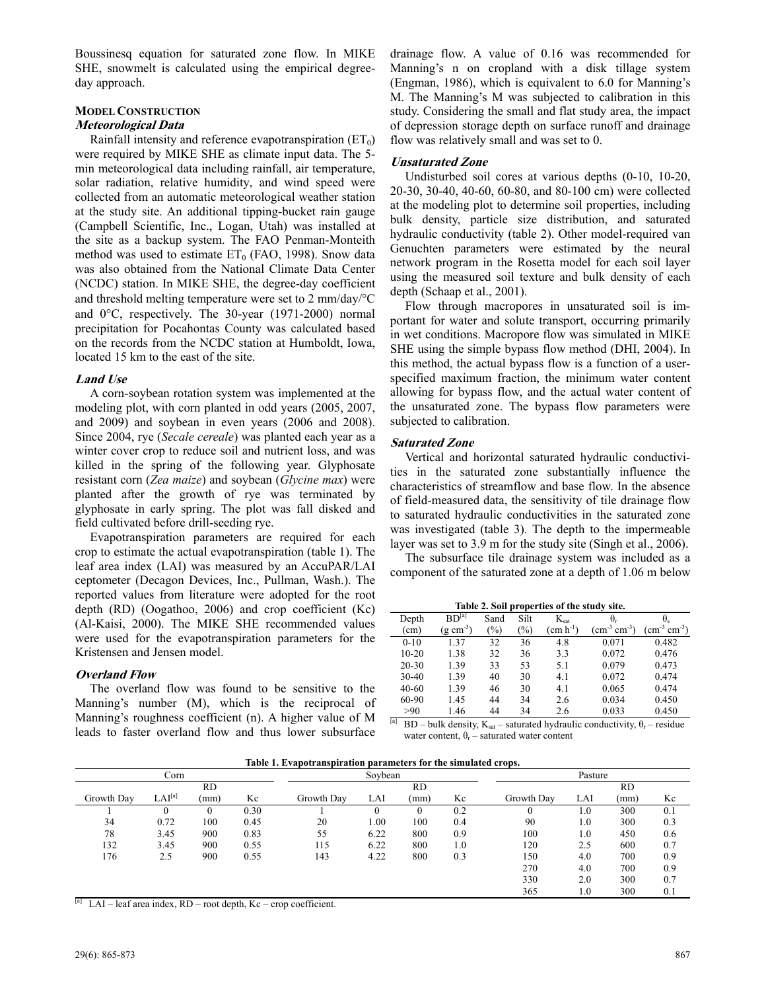Boussinesq equation for saturated zone flow. In MIKE SHE, snowmelt is calculated using the empirical degreeday approach.

## **MODEL CONSTRUCTION**

## **Meteorological Data**

Rainfall intensity and reference evapotranspiration  $(ET_0)$ were required by MIKE SHE as climate input data. The 5 min meteorological data including rainfall, air temperature, solar radiation, relative humidity, and wind speed were collected from an automatic meteorological weather station at the study site. An additional tipping-bucket rain gauge (Campbell Scientific, Inc., Logan, Utah) was installed at the site as a backup system. The FAO Penman-Monteith method was used to estimate  $ET_0$  (FAO, 1998). Snow data was also obtained from the National Climate Data Center (NCDC) station. In MIKE SHE, the degree-day coefficient and threshold melting temperature were set to 2 mm/day/°C and 0°C, respectively. The 30-year (1971-2000) normal precipitation for Pocahontas County was calculated based on the records from the NCDC station at Humboldt, Iowa, located 15 km to the east of the site.

#### **Land Use**

A corn-soybean rotation system was implemented at the modeling plot, with corn planted in odd years (2005, 2007, and 2009) and soybean in even years (2006 and 2008). Since 2004, rye (*Secale cereale*) was planted each year as a winter cover crop to reduce soil and nutrient loss, and was killed in the spring of the following year. Glyphosate resistant corn (*Zea maize*) and soybean (*Glycine max*) were planted after the growth of rye was terminated by glyphosate in early spring. The plot was fall disked and field cultivated before drill-seeding rye.

Evapotranspiration parameters are required for each crop to estimate the actual evapotranspiration (table 1). The leaf area index (LAI) was measured by an AccuPAR/LAI ceptometer (Decagon Devices, Inc., Pullman, Wash.). The reported values from literature were adopted for the root depth (RD) (Oogathoo, 2006) and crop coefficient (Kc) (Al-Kaisi, 2000). The MIKE SHE recommended values were used for the evapotranspiration parameters for the Kristensen and Jensen model.

### **Overland Flow**

The overland flow was found to be sensitive to the Manning's number (M), which is the reciprocal of Manning's roughness coefficient (n). A higher value of M leads to faster overland flow and thus lower subsurface drainage flow. A value of 0.16 was recommended for Manning's n on cropland with a disk tillage system (Engman, 1986), which is equivalent to 6.0 for Manning's M. The Manning's M was subjected to calibration in this study. Considering the small and flat study area, the impact of depression storage depth on surface runoff and drainage flow was relatively small and was set to 0.

## **Unsaturated Zone**

Undisturbed soil cores at various depths (0-10, 10-20, 20-30, 30-40, 40-60, 60-80, and 80-100 cm) were collected at the modeling plot to determine soil properties, including bulk density, particle size distribution, and saturated hydraulic conductivity (table 2). Other model-required van Genuchten parameters were estimated by the neural network program in the Rosetta model for each soil layer using the measured soil texture and bulk density of each depth (Schaap et al., 2001).

Flow through macropores in unsaturated soil is important for water and solute transport, occurring primarily in wet conditions. Macropore flow was simulated in MIKE SHE using the simple bypass flow method (DHI, 2004). In this method, the actual bypass flow is a function of a userspecified maximum fraction, the minimum water content allowing for bypass flow, and the actual water content of the unsaturated zone. The bypass flow parameters were subjected to calibration.

### **Saturated Zone**

Vertical and horizontal saturated hydraulic conductivities in the saturated zone substantially influence the characteristics of streamflow and base flow. In the absence of field-measured data, the sensitivity of tile drainage flow to saturated hydraulic conductivities in the saturated zone was investigated (table 3). The depth to the impermeable layer was set to 3.9 m for the study site (Singh et al., 2006).

The subsurface tile drainage system was included as a component of the saturated zone at a depth of 1.06 m below

| Table 2. Soil properties of the study site. |                       |               |               |                   |                               |                                          |
|---------------------------------------------|-----------------------|---------------|---------------|-------------------|-------------------------------|------------------------------------------|
| Depth                                       | $BD^{[a]}$            | Sand          | Silt          | $K_{\text{sat}}$  | θ.                            | $\theta_{s}$                             |
| (cm)                                        | $(g \text{ cm}^{-3})$ | $\frac{1}{2}$ | $\frac{9}{0}$ | $\rm (cm~h^{-1})$ | $\rm \, (cm^{-3} \, cm^{-3})$ | $\rm (cm^{\text{-}3} \, cm^{\text{-}3})$ |
| $0 - 10$                                    | 1.37                  | 32            | 36            | 4.8               | 0.071                         | 0.482                                    |
| $10 - 20$                                   | 1.38                  | 32            | 36            | 3.3               | 0.072                         | 0.476                                    |
| $20 - 30$                                   | 1.39                  | 33            | 53            | 5.1               | 0.079                         | 0.473                                    |
| 30-40                                       | 1.39                  | 40            | 30            | 4.1               | 0.072                         | 0.474                                    |
| $40 - 60$                                   | 1.39                  | 46            | 30            | 4.1               | 0.065                         | 0.474                                    |
| 60-90                                       | 1.45                  | 44            | 34            | 2.6               | 0.034                         | 0.450                                    |
| >90                                         | 1.46                  | 44            | 34            | 2.6               | 0.033                         | 0.450                                    |

<sup>[a]</sup> BD – bulk density, K<sub>sat</sub> – saturated hydraulic conductivity,  $\theta_r$  – residue water content,  $\theta_r$  – saturated water content

**Table 1. Evapotranspiration parameters for the simulated crops.** 

| $-$ 0.0 $-$ 0.0 $-$ 0.0 $-$ 0.0 $-$ 0.0 $-$ 0.0 $-$ 0.0 $-$ 0.0 $-$<br>. |                    |      |      |            |          |      |     |            |         |           |     |
|--------------------------------------------------------------------------|--------------------|------|------|------------|----------|------|-----|------------|---------|-----------|-----|
|                                                                          | Corn               |      |      |            | Soybean  |      |     |            | Pasture |           |     |
|                                                                          |                    | RD   |      |            |          | RD   |     |            |         | <b>RD</b> |     |
| Growth Dav                                                               | LAI <sup>[a]</sup> | (mm) | Kc   | Growth Day | LAI      | (mm) | Kc  | Growth Dav | LAI     | (mm)      | Kc  |
|                                                                          | 0                  |      | 0.30 |            | $\Omega$ |      | 0.2 |            | 1.0     | 300       | 0.1 |
| 34                                                                       | 0.72               | 100  | 0.45 | 20         | $1.00\,$ | 100  | 0.4 | 90         | 1.0     | 300       | 0.3 |
| 78                                                                       | 3.45               | 900  | 0.83 | 55         | 6.22     | 800  | 0.9 | 100        | 1.0     | 450       | 0.6 |
| 132                                                                      | 3.45               | 900  | 0.55 | 115        | 6.22     | 800  | 1.0 | 120        | 2.5     | 600       | 0.7 |
| 176                                                                      | 2.5                | 900  | 0.55 | 143        | 4.22     | 800  | 0.3 | 150        | 4.0     | 700       | 0.9 |
|                                                                          |                    |      |      |            |          |      |     | 270        | 4.0     | 700       | 0.9 |
|                                                                          |                    |      |      |            |          |      |     | 330        | 2.0     | 300       | 0.7 |
|                                                                          |                    |      |      |            |          |      |     | 365        | 1.0     | 300       | 0.1 |

 $^{[a]}$  LAI – leaf area index, RD – root depth, Kc – crop coefficient.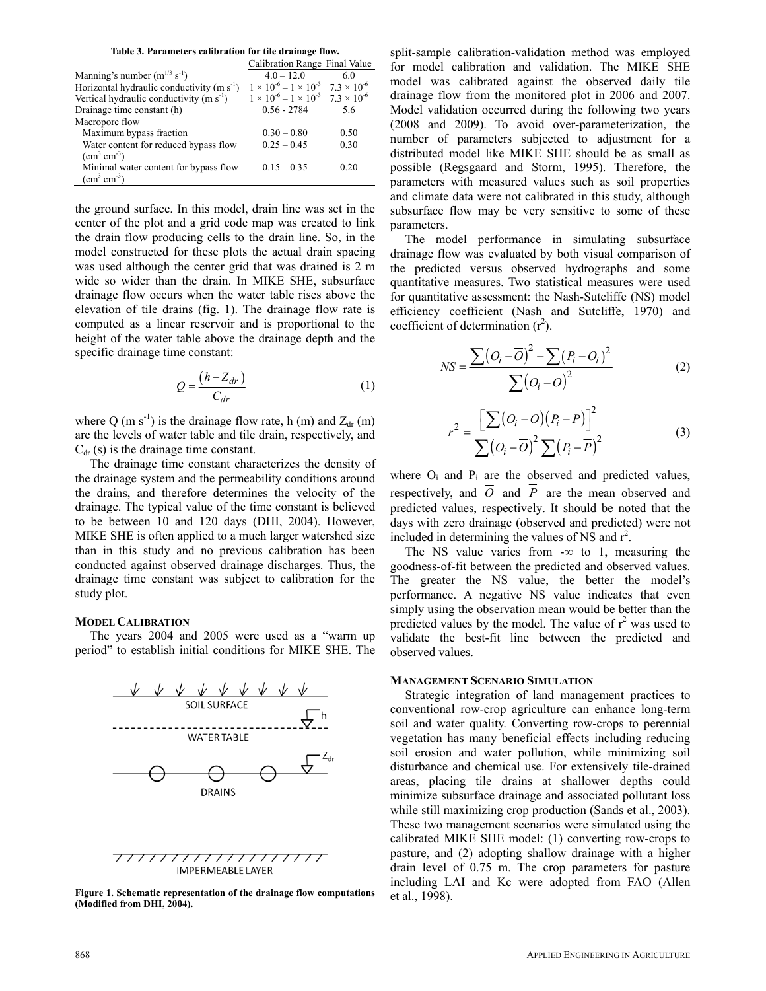| Table 3. Parameters calibration for tile drainage flow. |  |  |
|---------------------------------------------------------|--|--|
|                                                         |  |  |

|                                             | Calibration Range Final Value                              |      |
|---------------------------------------------|------------------------------------------------------------|------|
| Manning's number $(m^{1/3} s^{-1})$         | $40 - 120$                                                 | 60   |
| Horizontal hydraulic conductivity $(m s-1)$ | $1 \times 10^{-6} - 1 \times 10^{-3}$ $7.3 \times 10^{-6}$ |      |
| Vertical hydraulic conductivity $(m s-1)$   | $1 \times 10^{-6} - 1 \times 10^{-3}$ $7.3 \times 10^{-6}$ |      |
| Drainage time constant (h)                  | $0.56 - 2784$                                              | 5.6  |
| Macropore flow                              |                                                            |      |
| Maximum bypass fraction                     | $0.30 - 0.80$                                              | 0.50 |
| Water content for reduced bypass flow       | $0.25 - 0.45$                                              | 0.30 |
| $\text{cm}^3 \text{ cm}^3$ )                |                                                            |      |
| Minimal water content for bypass flow       | $0.15 - 0.35$                                              | 0.20 |
| $\text{cm}^3 \text{ cm}^3$                  |                                                            |      |

the ground surface. In this model, drain line was set in the center of the plot and a grid code map was created to link the drain flow producing cells to the drain line. So, in the model constructed for these plots the actual drain spacing was used although the center grid that was drained is 2 m wide so wider than the drain. In MIKE SHE, subsurface drainage flow occurs when the water table rises above the elevation of tile drains (fig. 1). The drainage flow rate is computed as a linear reservoir and is proportional to the height of the water table above the drainage depth and the specific drainage time constant:

$$
Q = \frac{(h - Z_{dr})}{C_{dr}}\tag{1}
$$

where Q (m s<sup>-1</sup>) is the drainage flow rate, h (m) and  $Z_{dr}$  (m) are the levels of water table and tile drain, respectively, and  $C<sub>dr</sub>$  (s) is the drainage time constant.

The drainage time constant characterizes the density of the drainage system and the permeability conditions around the drains, and therefore determines the velocity of the drainage. The typical value of the time constant is believed to be between 10 and 120 days (DHI, 2004). However, MIKE SHE is often applied to a much larger watershed size than in this study and no previous calibration has been conducted against observed drainage discharges. Thus, the drainage time constant was subject to calibration for the study plot.

#### **MODEL CALIBRATION**

The years 2004 and 2005 were used as a "warm up period" to establish initial conditions for MIKE SHE. The



**IMPERMEABLE LAYER** 

**Figure 1. Schematic representation of the drainage flow computations (Modified from DHI, 2004).** 

split-sample calibration-validation method was employed for model calibration and validation. The MIKE SHE model was calibrated against the observed daily tile drainage flow from the monitored plot in 2006 and 2007. Model validation occurred during the following two years (2008 and 2009). To avoid over-parameterization, the number of parameters subjected to adjustment for a distributed model like MIKE SHE should be as small as possible (Regsgaard and Storm, 1995). Therefore, the parameters with measured values such as soil properties and climate data were not calibrated in this study, although subsurface flow may be very sensitive to some of these parameters.

The model performance in simulating subsurface drainage flow was evaluated by both visual comparison of the predicted versus observed hydrographs and some quantitative measures. Two statistical measures were used for quantitative assessment: the Nash-Sutcliffe (NS) model efficiency coefficient (Nash and Sutcliffe, 1970) and coefficient of determination  $(r^2)$ .

$$
NS = \frac{\sum (O_i - \overline{O})^2 - \sum (P_i - O_i)^2}{\sum (O_i - \overline{O})^2}
$$
 (2)

$$
r^{2} = \frac{\left[\sum (O_{i} - \overline{O})(P_{i} - \overline{P})\right]^{2}}{\sum (O_{i} - \overline{O})^{2} \sum (P_{i} - \overline{P})^{2}}
$$
(3)

where  $O_i$  and  $P_i$  are the observed and predicted values, respectively, and  $\overline{O}$  and  $\overline{P}$  are the mean observed and predicted values, respectively. It should be noted that the days with zero drainage (observed and predicted) were not included in determining the values of NS and  $r^2$ .

The NS value varies from  $-\infty$  to 1, measuring the goodness-of-fit between the predicted and observed values. The greater the NS value, the better the model's performance. A negative NS value indicates that even simply using the observation mean would be better than the predicted values by the model. The value of  $r^2$  was used to validate the best-fit line between the predicted and observed values.

#### **MANAGEMENT SCENARIO SIMULATION**

Strategic integration of land management practices to conventional row-crop agriculture can enhance long-term soil and water quality. Converting row-crops to perennial vegetation has many beneficial effects including reducing soil erosion and water pollution, while minimizing soil disturbance and chemical use. For extensively tile-drained areas, placing tile drains at shallower depths could minimize subsurface drainage and associated pollutant loss while still maximizing crop production (Sands et al., 2003). These two management scenarios were simulated using the calibrated MIKE SHE model: (1) converting row-crops to pasture, and (2) adopting shallow drainage with a higher drain level of 0.75 m. The crop parameters for pasture including LAI and Kc were adopted from FAO (Allen et al., 1998).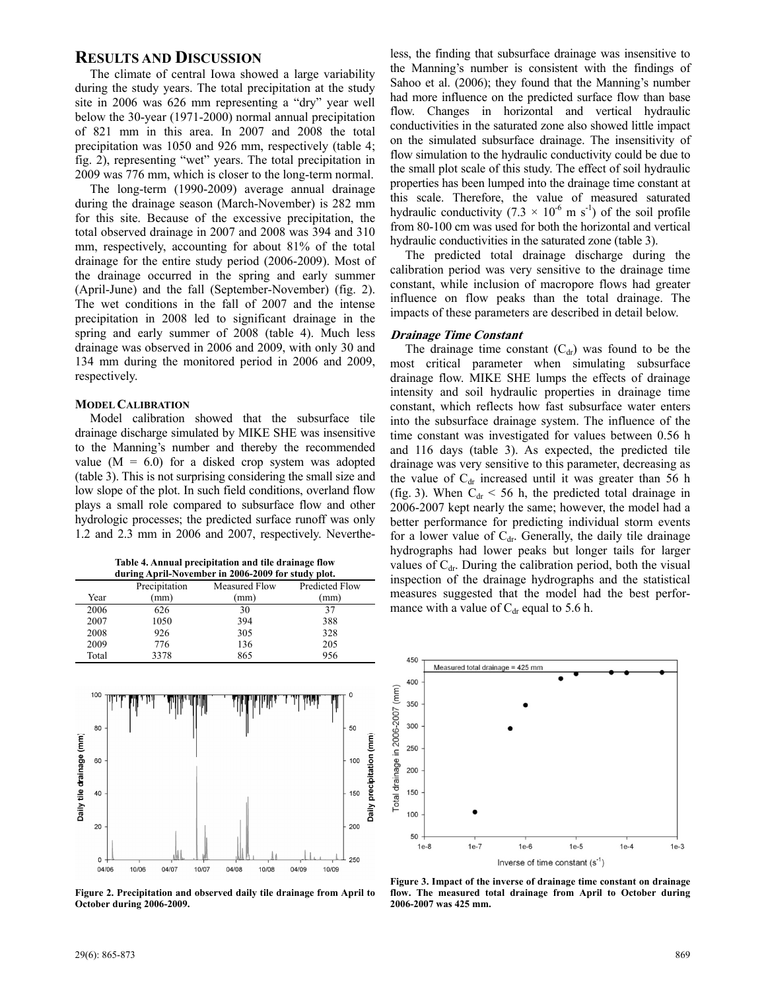## **RESULTS AND DISCUSSION**

The climate of central Iowa showed a large variability during the study years. The total precipitation at the study site in 2006 was 626 mm representing a "dry" year well below the 30-year (1971-2000) normal annual precipitation of 821 mm in this area. In 2007 and 2008 the total precipitation was 1050 and 926 mm, respectively (table 4; fig. 2), representing "wet" years. The total precipitation in 2009 was 776 mm, which is closer to the long-term normal.

The long-term (1990-2009) average annual drainage during the drainage season (March-November) is 282 mm for this site. Because of the excessive precipitation, the total observed drainage in 2007 and 2008 was 394 and 310 mm, respectively, accounting for about 81% of the total drainage for the entire study period (2006-2009). Most of the drainage occurred in the spring and early summer (April-June) and the fall (September-November) (fig. 2). The wet conditions in the fall of 2007 and the intense precipitation in 2008 led to significant drainage in the spring and early summer of 2008 (table 4). Much less drainage was observed in 2006 and 2009, with only 30 and 134 mm during the monitored period in 2006 and 2009, respectively.

#### **MODEL CALIBRATION**

Model calibration showed that the subsurface tile drainage discharge simulated by MIKE SHE was insensitive to the Manning's number and thereby the recommended value  $(M = 6.0)$  for a disked crop system was adopted (table 3). This is not surprising considering the small size and low slope of the plot. In such field conditions, overland flow plays a small role compared to subsurface flow and other hydrologic processes; the predicted surface runoff was only 1.2 and 2.3 mm in 2006 and 2007, respectively. Neverthe-

**Table 4. Annual precipitation and tile drainage flow during April-November in 2006-2009 for study plot.** 

|       | Precipitation | Measured Flow | <b>Predicted Flow</b> |  |
|-------|---------------|---------------|-----------------------|--|
| Year  | (mm)          | (mm           | (mm)                  |  |
| 2006  | 626           | 30            | 37                    |  |
| 2007  | 1050          | 394           | 388                   |  |
| 2008  | 926           | 305           | 328                   |  |
| 2009  | 776           | 136           | 205                   |  |
| Total | 3378          | 865           | 956                   |  |
|       |               |               |                       |  |



**Figure 2. Precipitation and observed daily tile drainage from April to October during 2006-2009.** 

less, the finding that subsurface drainage was insensitive to the Manning's number is consistent with the findings of Sahoo et al. (2006); they found that the Manning's number had more influence on the predicted surface flow than base flow. Changes in horizontal and vertical hydraulic conductivities in the saturated zone also showed little impact on the simulated subsurface drainage. The insensitivity of flow simulation to the hydraulic conductivity could be due to the small plot scale of this study. The effect of soil hydraulic properties has been lumped into the drainage time constant at this scale. Therefore, the value of measured saturated hydraulic conductivity  $(7.3 \times 10^{-6} \text{ m s}^{-1})$  of the soil profile from 80-100 cm was used for both the horizontal and vertical hydraulic conductivities in the saturated zone (table 3).

The predicted total drainage discharge during the calibration period was very sensitive to the drainage time constant, while inclusion of macropore flows had greater influence on flow peaks than the total drainage. The impacts of these parameters are described in detail below.

#### **Drainage Time Constant**

The drainage time constant  $(C<sub>dr</sub>)$  was found to be the most critical parameter when simulating subsurface drainage flow. MIKE SHE lumps the effects of drainage intensity and soil hydraulic properties in drainage time constant, which reflects how fast subsurface water enters into the subsurface drainage system. The influence of the time constant was investigated for values between 0.56 h and 116 days (table 3). As expected, the predicted tile drainage was very sensitive to this parameter, decreasing as the value of  $C_{dr}$  increased until it was greater than 56 h (fig. 3). When  $C_{dr}$  < 56 h, the predicted total drainage in 2006-2007 kept nearly the same; however, the model had a better performance for predicting individual storm events for a lower value of  $C<sub>dr</sub>$ . Generally, the daily tile drainage hydrographs had lower peaks but longer tails for larger values of  $C<sub>dr</sub>$ . During the calibration period, both the visual inspection of the drainage hydrographs and the statistical measures suggested that the model had the best performance with a value of  $C<sub>dr</sub>$  equal to 5.6 h.



**Figure 3. Impact of the inverse of drainage time constant on drainage flow. The measured total drainage from April to October during 2006-2007 was 425 mm.**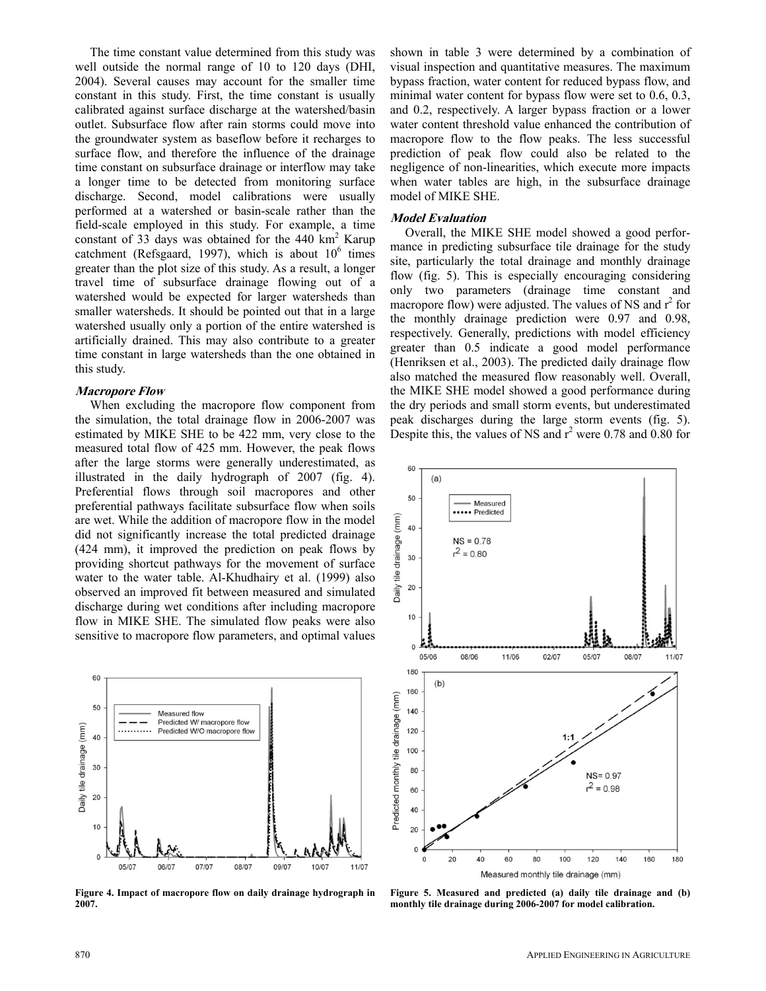The time constant value determined from this study was well outside the normal range of 10 to 120 days (DHI, 2004). Several causes may account for the smaller time constant in this study. First, the time constant is usually calibrated against surface discharge at the watershed/basin outlet. Subsurface flow after rain storms could move into the groundwater system as baseflow before it recharges to surface flow, and therefore the influence of the drainage time constant on subsurface drainage or interflow may take a longer time to be detected from monitoring surface discharge. Second, model calibrations were usually performed at a watershed or basin-scale rather than the field-scale employed in this study. For example, a time constant of 33 days was obtained for the  $440 \text{ km}^2$  Karup catchment (Refsgaard, 1997), which is about  $10^6$  times greater than the plot size of this study. As a result, a longer travel time of subsurface drainage flowing out of a watershed would be expected for larger watersheds than smaller watersheds. It should be pointed out that in a large watershed usually only a portion of the entire watershed is artificially drained. This may also contribute to a greater time constant in large watersheds than the one obtained in this study.

#### **Macropore Flow**

When excluding the macropore flow component from the simulation, the total drainage flow in 2006-2007 was estimated by MIKE SHE to be 422 mm, very close to the measured total flow of 425 mm. However, the peak flows after the large storms were generally underestimated, as illustrated in the daily hydrograph of 2007 (fig. 4). Preferential flows through soil macropores and other preferential pathways facilitate subsurface flow when soils are wet. While the addition of macropore flow in the model did not significantly increase the total predicted drainage (424 mm), it improved the prediction on peak flows by providing shortcut pathways for the movement of surface water to the water table. Al-Khudhairy et al. (1999) also observed an improved fit between measured and simulated discharge during wet conditions after including macropore flow in MIKE SHE. The simulated flow peaks were also sensitive to macropore flow parameters, and optimal values



**Figure 4. Impact of macropore flow on daily drainage hydrograph in 2007.** 

shown in table 3 were determined by a combination of visual inspection and quantitative measures. The maximum bypass fraction, water content for reduced bypass flow, and minimal water content for bypass flow were set to 0.6, 0.3, and 0.2, respectively. A larger bypass fraction or a lower water content threshold value enhanced the contribution of macropore flow to the flow peaks. The less successful prediction of peak flow could also be related to the negligence of non-linearities, which execute more impacts when water tables are high, in the subsurface drainage model of MIKE SHE.

#### **Model Evaluation**

Overall, the MIKE SHE model showed a good performance in predicting subsurface tile drainage for the study site, particularly the total drainage and monthly drainage flow (fig. 5). This is especially encouraging considering only two parameters (drainage time constant and macropore flow) were adjusted. The values of NS and  $r^2$  for the monthly drainage prediction were 0.97 and 0.98, respectively. Generally, predictions with model efficiency greater than 0.5 indicate a good model performance (Henriksen et al., 2003). The predicted daily drainage flow also matched the measured flow reasonably well. Overall, the MIKE SHE model showed a good performance during the dry periods and small storm events, but underestimated peak discharges during the large storm events (fig. 5). Despite this, the values of NS and  $r^2$  were 0.78 and 0.80 for



**Figure 5. Measured and predicted (a) daily tile drainage and (b) monthly tile drainage during 2006-2007 for model calibration.**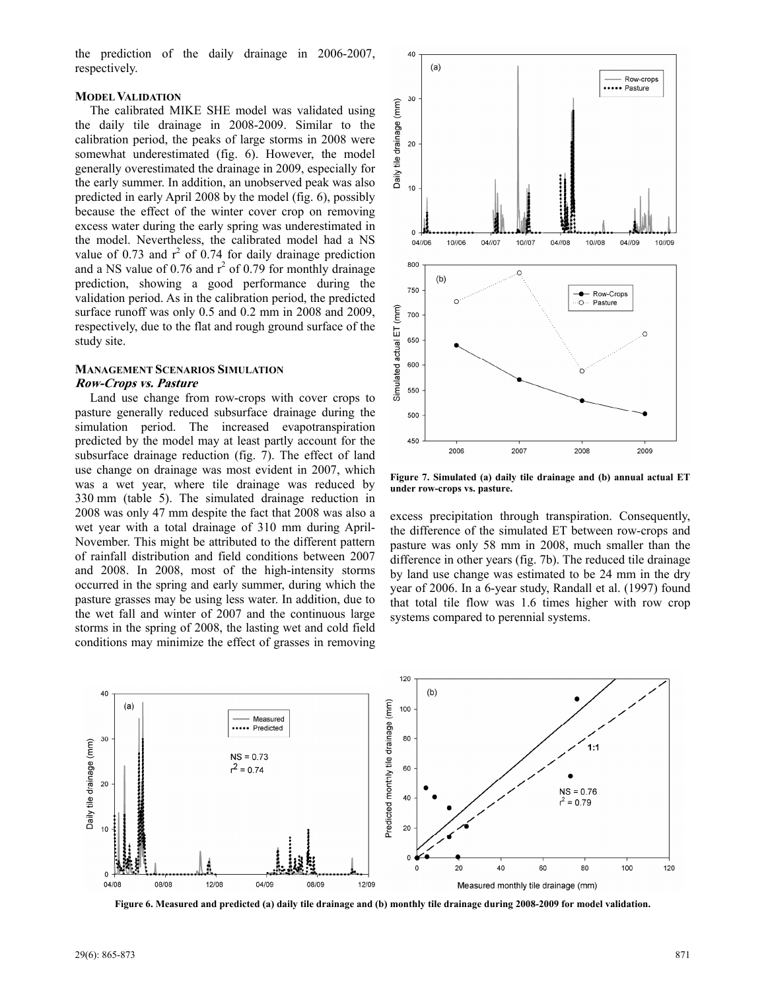the prediction of the daily drainage in 2006-2007, respectively.

#### **MODEL VALIDATION**

The calibrated MIKE SHE model was validated using the daily tile drainage in 2008-2009. Similar to the calibration period, the peaks of large storms in 2008 were somewhat underestimated (fig. 6). However, the model generally overestimated the drainage in 2009, especially for the early summer. In addition, an unobserved peak was also predicted in early April 2008 by the model (fig. 6), possibly because the effect of the winter cover crop on removing excess water during the early spring was underestimated in the model. Nevertheless, the calibrated model had a NS value of 0.73 and  $r^2$  of 0.74 for daily drainage prediction and a NS value of 0.76 and  $r^2$  of 0.79 for monthly drainage prediction, showing a good performance during the validation period. As in the calibration period, the predicted surface runoff was only 0.5 and 0.2 mm in 2008 and 2009, respectively, due to the flat and rough ground surface of the study site.

#### **MANAGEMENT SCENARIOS SIMULATION Row-Crops vs. Pasture**

Land use change from row-crops with cover crops to pasture generally reduced subsurface drainage during the simulation period. The increased evapotranspiration predicted by the model may at least partly account for the subsurface drainage reduction (fig. 7). The effect of land use change on drainage was most evident in 2007, which was a wet year, where tile drainage was reduced by 330 mm (table 5). The simulated drainage reduction in 2008 was only 47 mm despite the fact that 2008 was also a wet year with a total drainage of 310 mm during April-November. This might be attributed to the different pattern of rainfall distribution and field conditions between 2007 and 2008. In 2008, most of the high-intensity storms occurred in the spring and early summer, during which the pasture grasses may be using less water. In addition, due to the wet fall and winter of 2007 and the continuous large storms in the spring of 2008, the lasting wet and cold field conditions may minimize the effect of grasses in removing



**Figure 7. Simulated (a) daily tile drainage and (b) annual actual ET under row-crops vs. pasture.** 

excess precipitation through transpiration. Consequently, the difference of the simulated ET between row-crops and pasture was only 58 mm in 2008, much smaller than the difference in other years (fig. 7b). The reduced tile drainage by land use change was estimated to be 24 mm in the dry year of 2006. In a 6-year study, Randall et al. (1997) found that total tile flow was 1.6 times higher with row crop systems compared to perennial systems.



**Figure 6. Measured and predicted (a) daily tile drainage and (b) monthly tile drainage during 2008-2009 for model validation.**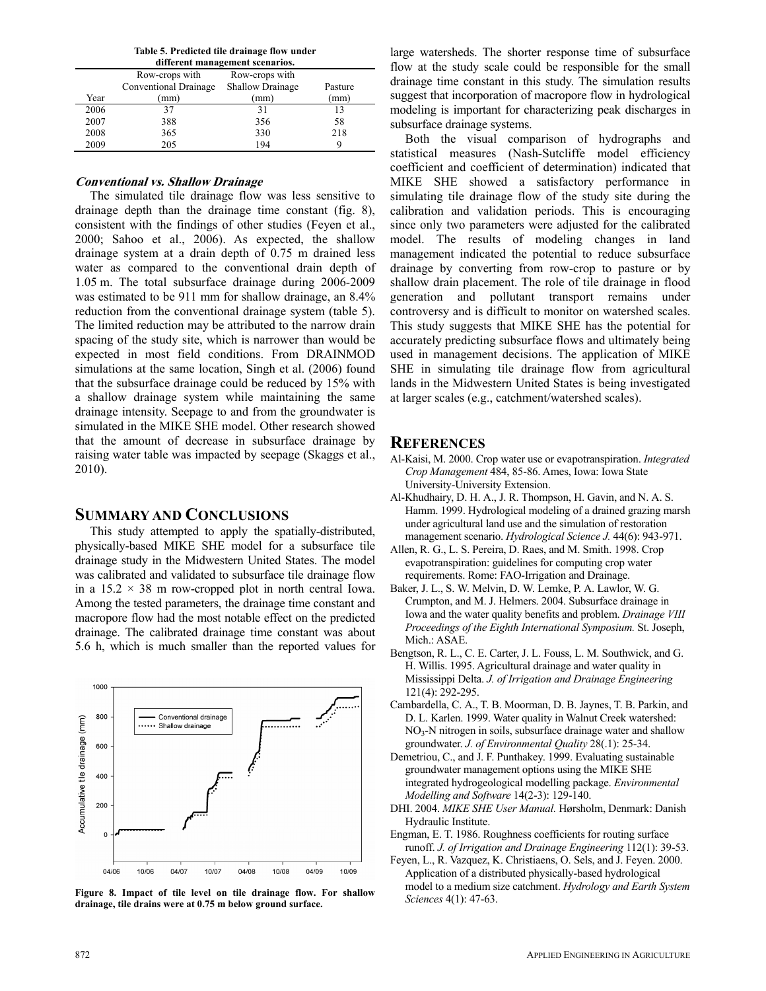**Table 5. Predicted tile drainage flow under** 

| different management scenarios. |                       |                         |         |  |  |
|---------------------------------|-----------------------|-------------------------|---------|--|--|
|                                 | Row-crops with        | Row-crops with          |         |  |  |
|                                 | Conventional Drainage | <b>Shallow Drainage</b> | Pasture |  |  |
| Year                            | (mm                   | (mm)                    | (mm)    |  |  |
| 2006                            | 37                    | 31                      | 13      |  |  |
| 2007                            | 388                   | 356                     | 58      |  |  |
| 2008                            | 365                   | 330                     | 218     |  |  |
| 2009                            | 205                   | 194                     | q       |  |  |

#### **Conventional vs. Shallow Drainage**

The simulated tile drainage flow was less sensitive to drainage depth than the drainage time constant (fig. 8), consistent with the findings of other studies (Feyen et al., 2000; Sahoo et al., 2006). As expected, the shallow drainage system at a drain depth of 0.75 m drained less water as compared to the conventional drain depth of 1.05 m. The total subsurface drainage during 2006-2009 was estimated to be 911 mm for shallow drainage, an 8.4% reduction from the conventional drainage system (table 5). The limited reduction may be attributed to the narrow drain spacing of the study site, which is narrower than would be expected in most field conditions. From DRAINMOD simulations at the same location, Singh et al. (2006) found that the subsurface drainage could be reduced by 15% with a shallow drainage system while maintaining the same drainage intensity. Seepage to and from the groundwater is simulated in the MIKE SHE model. Other research showed that the amount of decrease in subsurface drainage by raising water table was impacted by seepage (Skaggs et al., 2010).

## **SUMMARY AND CONCLUSIONS**

This study attempted to apply the spatially-distributed, physically-based MIKE SHE model for a subsurface tile drainage study in the Midwestern United States. The model was calibrated and validated to subsurface tile drainage flow in a  $15.2 \times 38$  m row-cropped plot in north central Iowa. Among the tested parameters, the drainage time constant and macropore flow had the most notable effect on the predicted drainage. The calibrated drainage time constant was about 5.6 h, which is much smaller than the reported values for



**Figure 8. Impact of tile level on tile drainage flow. For shallow drainage, tile drains were at 0.75 m below ground surface.** 

large watersheds. The shorter response time of subsurface flow at the study scale could be responsible for the small drainage time constant in this study. The simulation results suggest that incorporation of macropore flow in hydrological modeling is important for characterizing peak discharges in subsurface drainage systems.

Both the visual comparison of hydrographs and statistical measures (Nash-Sutcliffe model efficiency coefficient and coefficient of determination) indicated that MIKE SHE showed a satisfactory performance in simulating tile drainage flow of the study site during the calibration and validation periods. This is encouraging since only two parameters were adjusted for the calibrated model. The results of modeling changes in land management indicated the potential to reduce subsurface drainage by converting from row-crop to pasture or by shallow drain placement. The role of tile drainage in flood generation and pollutant transport remains under controversy and is difficult to monitor on watershed scales. This study suggests that MIKE SHE has the potential for accurately predicting subsurface flows and ultimately being used in management decisions. The application of MIKE SHE in simulating tile drainage flow from agricultural lands in the Midwestern United States is being investigated at larger scales (e.g., catchment/watershed scales).

## **REFERENCES**

- Al-Kaisi, M. 2000. Crop water use or evapotranspiration. *Integrated Crop Management* 484, 85-86. Ames, Iowa: Iowa State University-University Extension.
- Al-Khudhairy, D. H. A., J. R. Thompson, H. Gavin, and N. A. S. Hamm. 1999. Hydrological modeling of a drained grazing marsh under agricultural land use and the simulation of restoration management scenario. *Hydrological Science J.* 44(6): 943-971.
- Allen, R. G., L. S. Pereira, D. Raes, and M. Smith. 1998. Crop evapotranspiration: guidelines for computing crop water requirements. Rome: FAO-Irrigation and Drainage.
- Baker, J. L., S. W. Melvin, D. W. Lemke, P. A. Lawlor, W. G. Crumpton, and M. J. Helmers. 2004. Subsurface drainage in Iowa and the water quality benefits and problem. *Drainage VIII Proceedings of the Eighth International Symposium.* St. Joseph, Mich.: ASAE.
- Bengtson, R. L., C. E. Carter, J. L. Fouss, L. M. Southwick, and G. H. Willis. 1995. Agricultural drainage and water quality in Mississippi Delta. *J. of Irrigation and Drainage Engineering* 121(4): 292-295.
- Cambardella, C. A., T. B. Moorman, D. B. Jaynes, T. B. Parkin, and D. L. Karlen. 1999. Water quality in Walnut Creek watershed: NO<sub>3</sub>-N nitrogen in soils, subsurface drainage water and shallow groundwater. *J. of Environmental Quality* 28(.1): 25-34.
- Demetriou, C., and J. F. Punthakey. 1999. Evaluating sustainable groundwater management options using the MIKE SHE integrated hydrogeological modelling package. *Environmental Modelling and Software* 14(2-3): 129-140.
- DHI. 2004. *MIKE SHE User Manual.* Hørsholm, Denmark: Danish Hydraulic Institute.
- Engman, E. T. 1986. Roughness coefficients for routing surface runoff. *J. of Irrigation and Drainage Engineering* 112(1): 39-53.
- Feyen, L., R. Vazquez, K. Christiaens, O. Sels, and J. Feyen. 2000. Application of a distributed physically-based hydrological model to a medium size catchment. *Hydrology and Earth System Sciences* 4(1): 47-63.